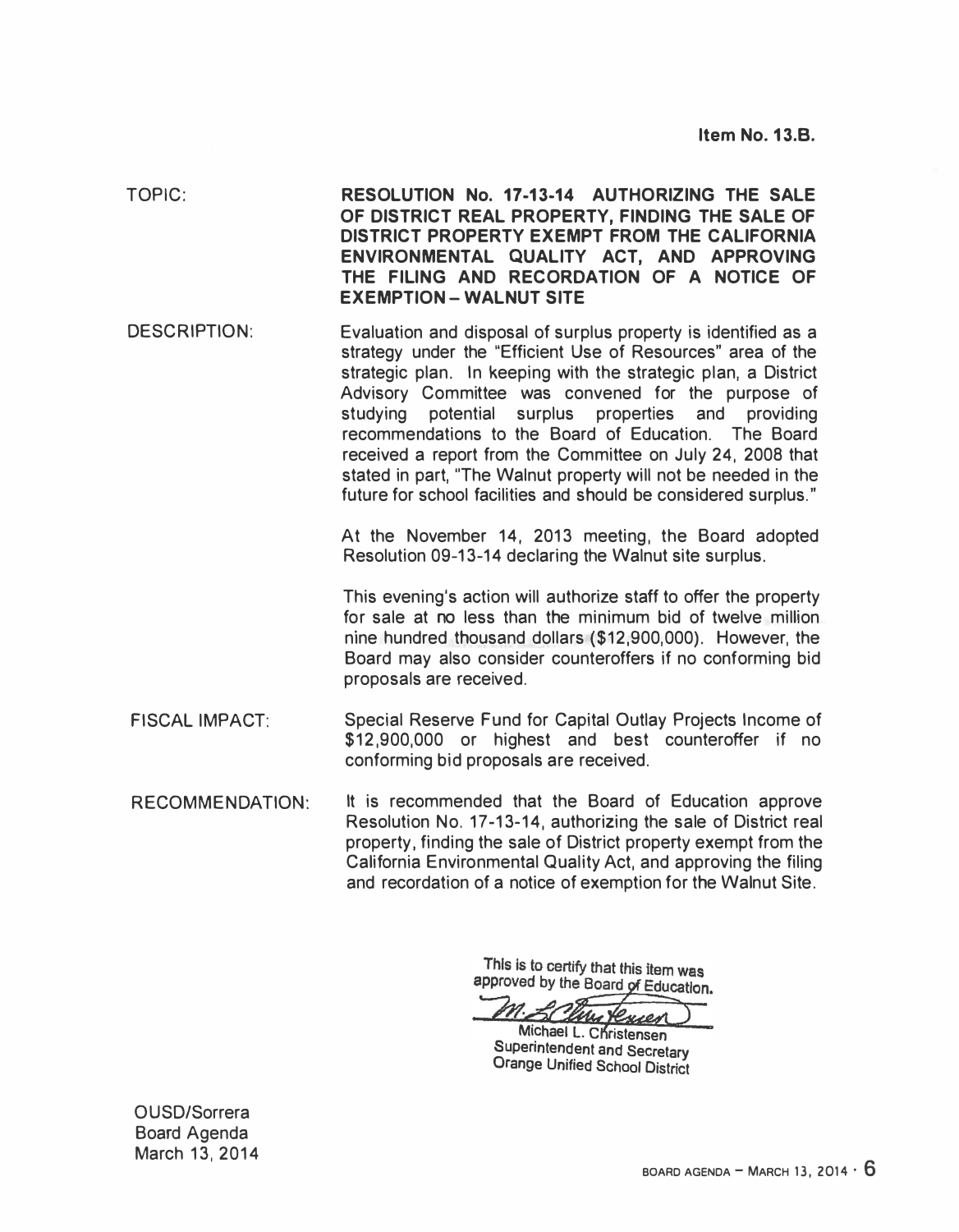| TOPIC:                 | RESOLUTION No. 17-13-14 AUTHORIZING THE SALE<br>OF DISTRICT REAL PROPERTY, FINDING THE SALE OF<br>DISTRICT PROPERTY EXEMPT FROM THE CALIFORNIA<br>ENVIRONMENTAL QUALITY ACT, AND APPROVING<br>THE FILING AND RECORDATION OF A NOTICE OF<br><b>EXEMPTION - WALNUT SITE</b>                                                                                                                                                                                                                                                                                                        |  |  |  |
|------------------------|----------------------------------------------------------------------------------------------------------------------------------------------------------------------------------------------------------------------------------------------------------------------------------------------------------------------------------------------------------------------------------------------------------------------------------------------------------------------------------------------------------------------------------------------------------------------------------|--|--|--|
| <b>DESCRIPTION:</b>    | Evaluation and disposal of surplus property is identified as a<br>strategy under the "Efficient Use of Resources" area of the<br>strategic plan. In keeping with the strategic plan, a District<br>Advisory Committee was convened for the purpose of<br>studying<br>potential surplus properties<br>and<br>providing<br>recommendations to the Board of Education. The Board<br>received a report from the Committee on July 24, 2008 that<br>stated in part, "The Walnut property will not be needed in the<br>future for school facilities and should be considered surplus." |  |  |  |
|                        | At the November 14, 2013 meeting, the Board adopted<br>Resolution 09-13-14 declaring the Walnut site surplus.                                                                                                                                                                                                                                                                                                                                                                                                                                                                    |  |  |  |
|                        | This evening's action will authorize staff to offer the property<br>for sale at no less than the minimum bid of twelve million<br>nine hundred thousand dollars (\$12,900,000). However, the<br>Board may also consider counteroffers if no conforming bid<br>proposals are received.                                                                                                                                                                                                                                                                                            |  |  |  |
| <b>FISCAL IMPACT:</b>  | Special Reserve Fund for Capital Outlay Projects Income of<br>\$12,900,000 or highest and best counteroffer if no<br>conforming bid proposals are received.                                                                                                                                                                                                                                                                                                                                                                                                                      |  |  |  |
| <b>RECOMMENDATION:</b> | It is recommended that the Board of Education approve<br>Resolution No. 17-13-14, authorizing the sale of District real<br>property, finding the sale of District property exempt from the<br>California Environmental Quality Act, and approving the filing<br>and recordation of a notice of exemption for the Walnut Site.                                                                                                                                                                                                                                                    |  |  |  |

This is to certify that this item was<br>approved by the Board of Education.

Michael L. Christensen Superintendent and Secretary Orange Unified School District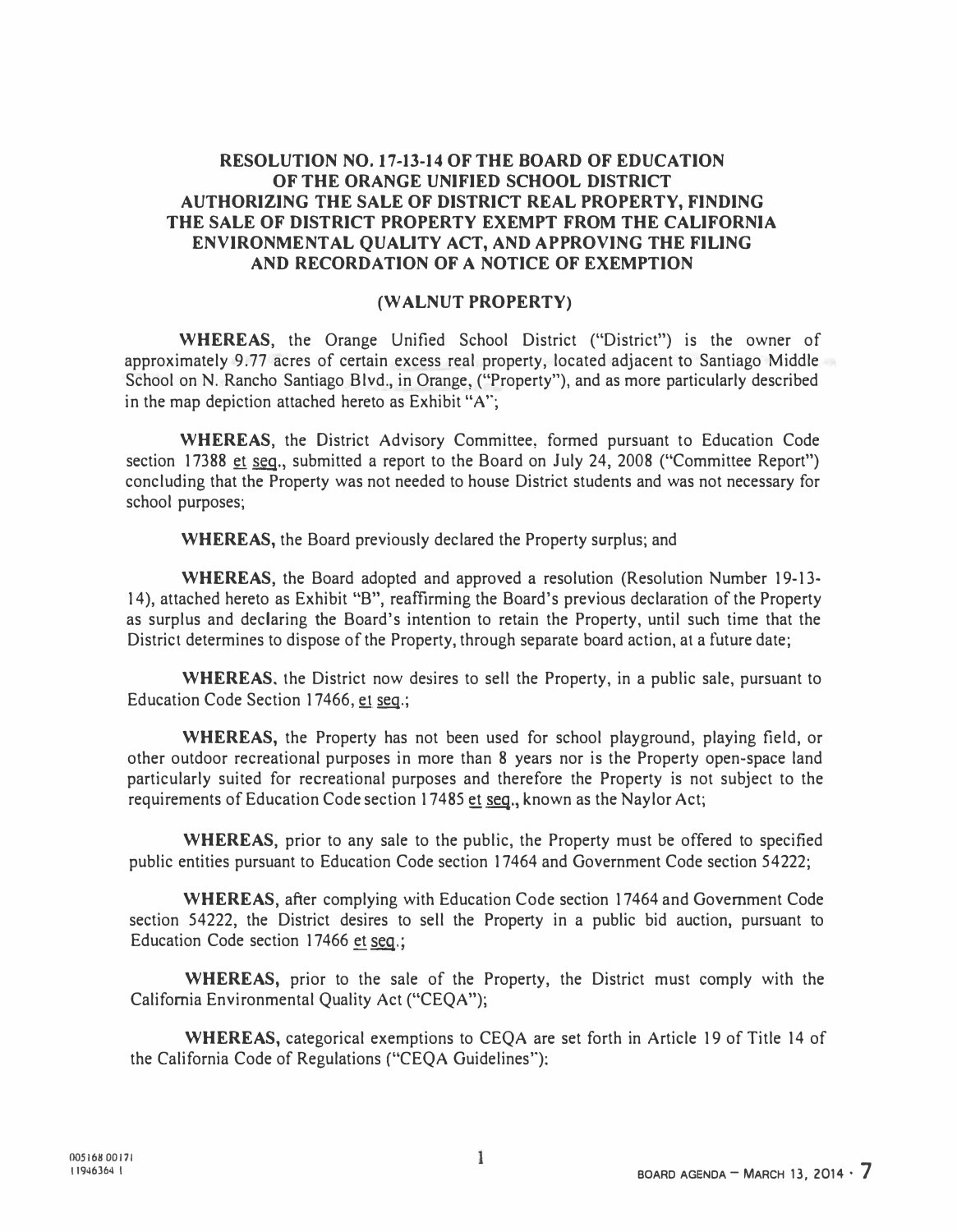## RESOLUTION NO. 17-13-14 OF THE BOARD OF EDUCATION OF THE ORANGE UNIFIED SCHOOL DISTRICT AUTHORIZING THE SALE OF DISTRICT REAL PROPERTY, FINDING THE SALE OF DISTRICT PROPERTY EXEMPT FROM THE CALIFORNIA ENVIRONMENTAL QUALITY ACT, AND APPROVING THE FILING AND RECORDATION OF A NOTICE OF EXEMPTION

## (WALNUT PROPERTY)

WHEREAS, the Orange Unified School District ("District") is the owner of approximately 9.77 acres of certain excess real property, located adjacent to Santiago Middle School on N. Rancho Santiago Blvd., in Orange, ("Property"), and as more particularly described in the map depiction attached hereto as Exhibit "A'';

WHEREAS, the District Advisory Committee, formed pursuant to Education Code section 17388 et seq., submitted a report to the Board on July 24, 2008 ("Committee Report") concluding that the Property was not needed to house District students and was not necessary for school purposes;

WHEREAS, the Board previously declared the Property surplus; and

WHEREAS, the Board adopted and approved a resolution (Resolution Number 19-13- 14), attached hereto as Exhibit "B", reaffirming the Board's previous declaration of the Property as surplus and declaring the Board's intention to retain the Property, until such time that the District determines to dispose of the Property, through separate board action, at a future date;

WHEREAS. the District now desires to sell the Property, in a public sale, pursuant to Education Code Section 17466, et seq.;

WHEREAS, the Property has not been used for school playground, playing field, or other outdoor recreational purposes in more than 8 years nor is the Property open-space land particularly suited for recreational purposes and therefore the Property is not subject to the requirements of Education Code section 17485 et seq., known as the Naylor Act;

WHEREAS, prior to any sale to the public, the Property must be offered to specified public entities pursuant to Education Code section 17464 and Government Code section 54222;

WHEREAS, after complying with Education Code section 17464 and Government Code section 54222, the District desires to sell the Property in a public bid auction, pursuant to Education Code section 17466 et seq.;

WHEREAS, prior to the sale of the Property, the District must comply with the California Environmental Quality Act ("CEQA");

WHEREAS, categorical exemptions to CEQA are set forth in Article 19 of Title 14 of the California Code of Regulations ("CEQA Guidelines''):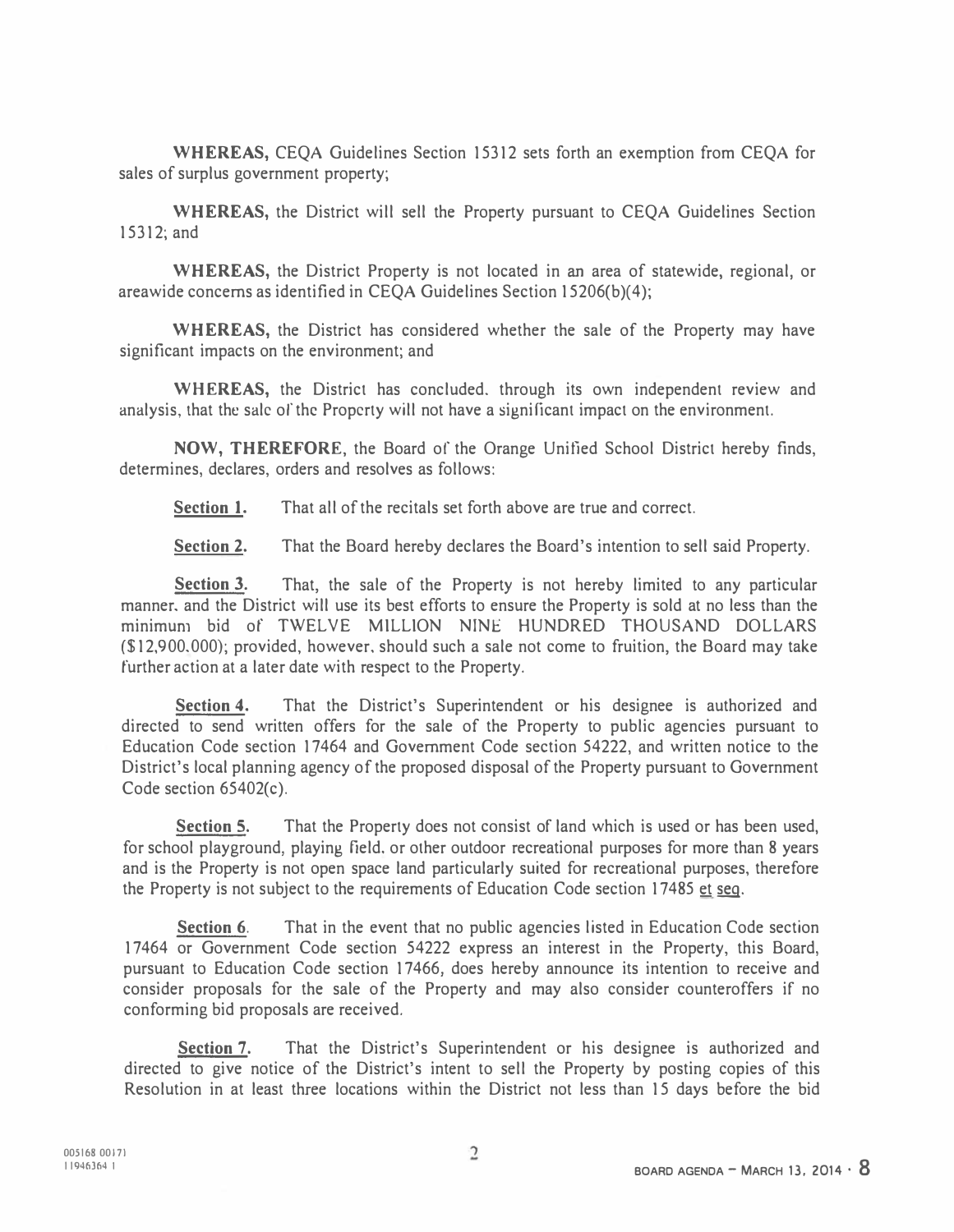WHEREAS, CEQA Guidelines Section 15312 sets forth an exemption from CEQA for sales of surplus government property;

WHEREAS, the District will sell the Property pursuant to CEQA Guidelines Section 15312;and

WHEREAS, the District Property is not located in an area of statewide, regional, or areawide concerns as identified in CEQA Guidelines Section 15206(b)(4);

WHEREAS, the District has considered whether the sale of the Property may have significant impacts on the environment; and

WHEREAS, the District has concluded, through its own independent review and analysis, that the sale of the Property will not have a significant impact on the environment.

NOW, THEREFORE, the Board of the Orange Unitied School District hereby finds, determines, declares, orders and resolves as follows:

Section 1. That all of the recitals set forth above are true and correct.

Section 2. That the Board hereby declares the Board's intention to sell said Property.

Section 3. That, the sale of the Property is not hereby limited to any particular manner. and the District will use its best efforts to ensure the Property is sold at no less than the minimum bid of TWELVE MILLION NINE HUNDRED THOUSAND DOLLARS (\$12, 900.000); provided, however. should such a sale not come to fruition, the Board may take further action at a later date with respect to the Property.

Section 4. That the District's Superintendent or his designee is authorized and directed to send written offers for the sale of the Property to public agencies pursuant to Education Code section 17464 and Government Code section 54222, and written notice to the District's local planning agency of the proposed disposal of the Property pursuant to Government Code section 65402(c).

Section 5. That the Property does not consist of land which is used or has been used, for school playground, playing field. or other outdoor recreational purposes for more than 8 years and is the Property is not open space land particularly suited for recreational purposes, therefore the Property is not subject to the requirements of Education Code section 17485 et seq.

Section 6. That in the event that no public agencies listed in Education Code section 17464 or Government Code section 54222 express an interest in the Property, this Board, pursuant to Education Code section 17466, does hereby announce its intention to receive and consider proposals for the sale of the Property and may also consider counteroffers if no conforming bid proposals are received.

Section 7. That the District's Superintendent or his designee is authorized and directed to give notice of the District's intent to sell the Property by posting copies of this Resolution in at least three locations within the District not less than 15 days before the bid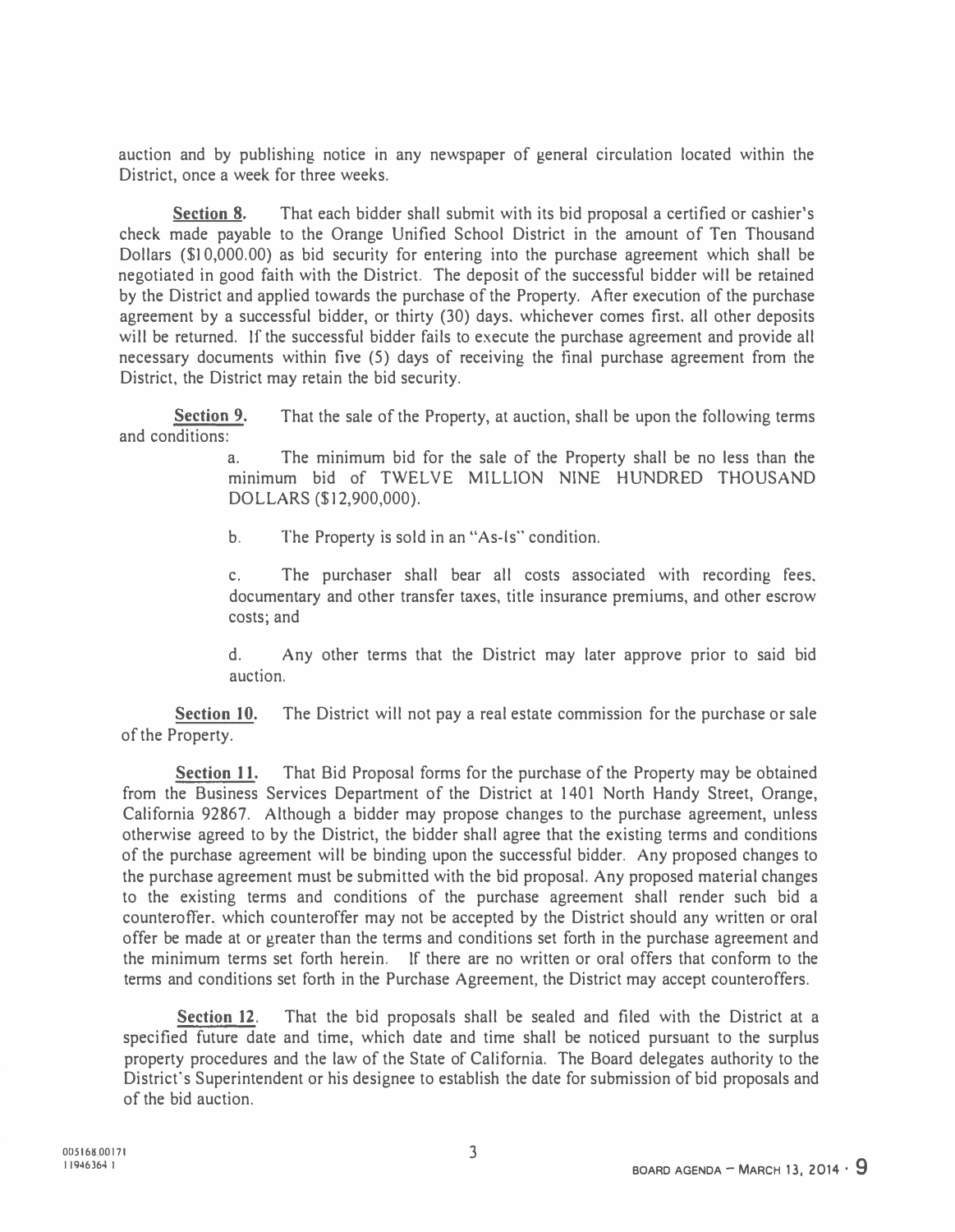auction and by publishing notice in any newspaper of general circulation located within the District, once a week for three weeks.

Section 8. That each bidder shall submit with its bid proposal a certified or cashier's check made payable to the Orange Unified School District in the amount of Ten Thousand Dollars (\$I 0,000.00) as bid security for entering into the purchase agreement which shall be negotiated in good faith with the District. The deposit of the successful bidder will be retained by the District and applied towards the purchase of the Property. After execution of the purchase agreement by a successful bidder, or thirty (30) days. whichever comes first. all other deposits will be returned. If the successful bidder fails to execute the purchase agreement and provide all necessary documents within five (5) days of receiving the tina) purchase agreement from the District, the District may retain the bid security.

Section 9. and conditions: That the sale of the Property, at auction, shall be upon the following terms

> a. The minimum bid for the sale of the Property shall be no Jess than the minimum bid of TWELVE MILLION NINE HUNDRED THOUSAND DOLLARS (\$12,900,000).

b. The Property is sold in an "As-Is" condition.

c. The purchaser shall bear all costs associated with recording fees. documentary and other transfer taxes, title insurance premiums, and other escrow costs; and

d. Any other terms that the District may later approve prior to said bid auction.

Section 10. The District will not pay a real estate commission for the purchase or sale of the Property.

Section 11. That Bid Proposal forms for the purchase of the Property may be obtained from the Business Services Department of the District at 1401 North Handy Street, Orange, California 92867. Although a bidder may propose changes to the purchase agreement, unless otherwise agreed to by the District, the bidder shall agree that the existing terms and conditions of the purchase agreement will be binding upon the successful bidder. Any proposed changes to the purchase agreement must be submitted with the bid proposal. Any proposed material changes to the existing terms and conditions of the purchase agreement shall render such bid a counteroffer. which counteroffer may not be accepted by the District should any written or oral offer be made at or greater than the terms and conditions set forth in the purchase agreement and the minimum terms set forth herein. If there are no written or oral offers that conform to the terms and conditions set forth in the Purchase Agreement, the District may accept counteroffers.

Section 12. That the bid proposals shall be sealed and filed with the District at a specified future date and time, which date and time shall be noticed pursuant to the surplus property procedures and the law of the State of California. The Board delegates authority to the District's Superintendent or his designee to establish the date for submission of bid proposals and of the bid auction.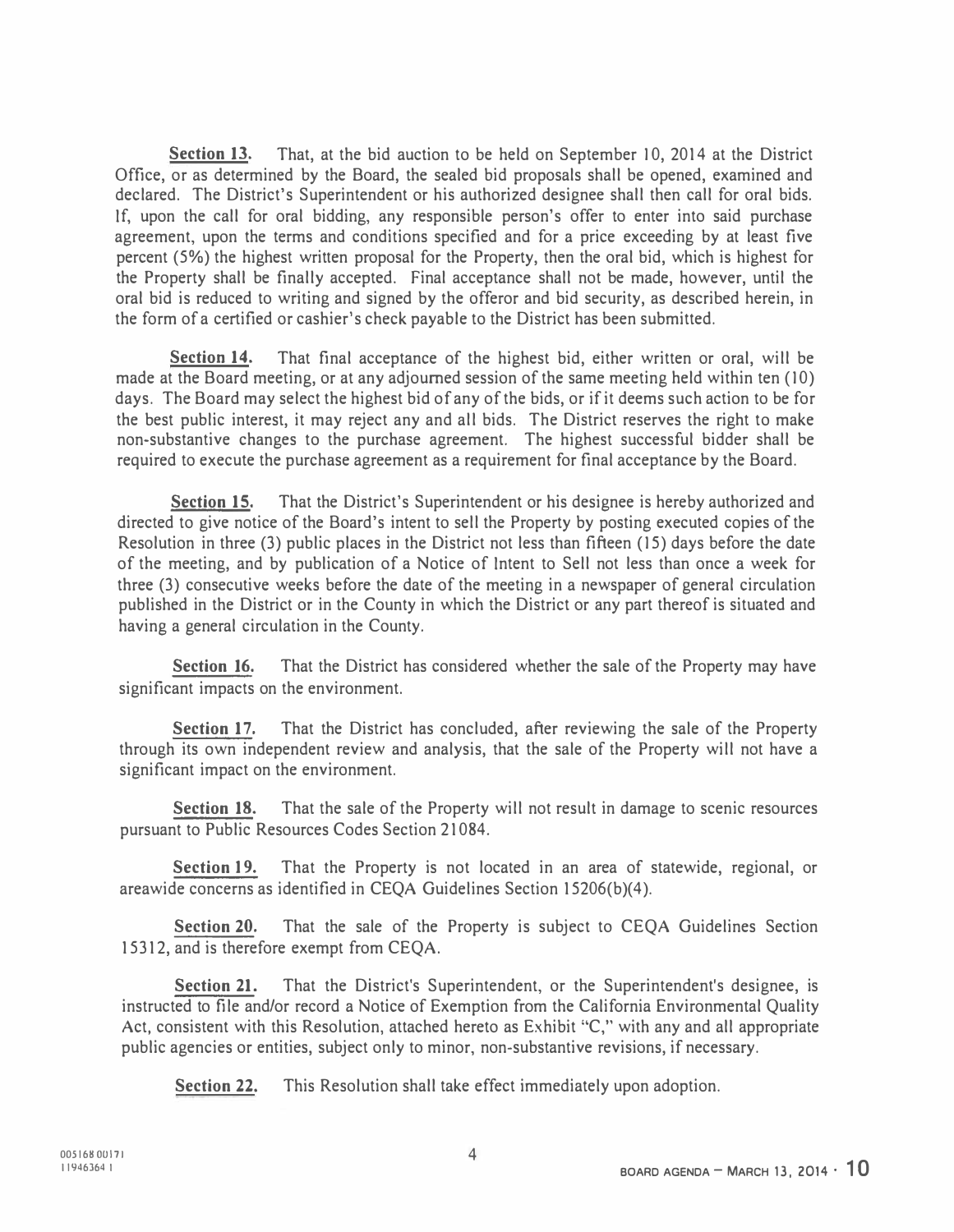Section 13. That, at the bid auction to be held on September 10, 2014 at the District Office, or as determined by the Board, the sealed bid proposals shall be opened, examined and declared. The District's Superintendent or his authorized designee shall then call for oral bids. If, upon the call for oral bidding, any responsible person's offer to enter into said purchase agreement, upon the terms and conditions specified and for a price exceeding by at least five percent (5%) the highest written proposal for the Property, then the oral bid, which is highest for the Property shall be finally accepted. Final acceptance shall not be made, however, until the oral bid is reduced to writing and signed by the offeror and bid security, as described herein, in the form of a certified or cashier's check payable to the District has been submitted.

Section 14. That final acceptance of the highest bid, either written or oral, will be made at the Board meeting, or at any adjourned session of the same meeting held within ten (10) days. The Board may select the highest bid of any of the bids, or if it deems such action to be for the best public interest, it may reject any and all bids. The District reserves the right to make non-substantive changes to the purchase agreement. The highest successful bidder shall be required to execute the purchase agreement as a requirement for final acceptance by the Board.

Section 15. That the District's Superintendent or his designee is hereby authorized and directed to give notice of the Board's intent to sell the Property by posting executed copies of the Resolution in three (3) public places in the District not less than fifteen (IS) days before the date of the meeting, and by publication of a Notice of Intent to Sell not less than once a week for three (3) consecutive weeks before the date of the meeting in a newspaper of general circulation published in the District or in the County in which the District or any part thereof is situated and having a general circulation in the County.

**Section 16.** That the District has considered whether the sale of the Property may have significant impacts on the environment.

Section 17. That the District has concluded, after reviewing the sale of the Property through its own independent review and analysis, that the sale of the Property will not have a significant impact on the environment.

Section 18. That the sale of the Property will not result in damage to scenic resources pursuant to Public Resources Codes Section 21084.

Section 19. That the Property is not located in an area of statewide, regional, or areawide concerns as identified in CEQA Guidelines Section 15206(b)(4).

Section 20. That the sale of the Property is subject to CEQA Guidelines Section 15312, and is therefore exempt from CEQA.

Section 21. That the District's Superintendent, or the Superintendent's designee, is instructed to file and/or record a Notice of Exemption from the California Environmental Quality Act, consistent with this Resolution, attached hereto as Exhibit "C," with any and all appropriate public agencies or entities, subject only to minor, non-substantive revisions, if necessary.

Section 22. This Resolution shall take effect immediately upon adoption.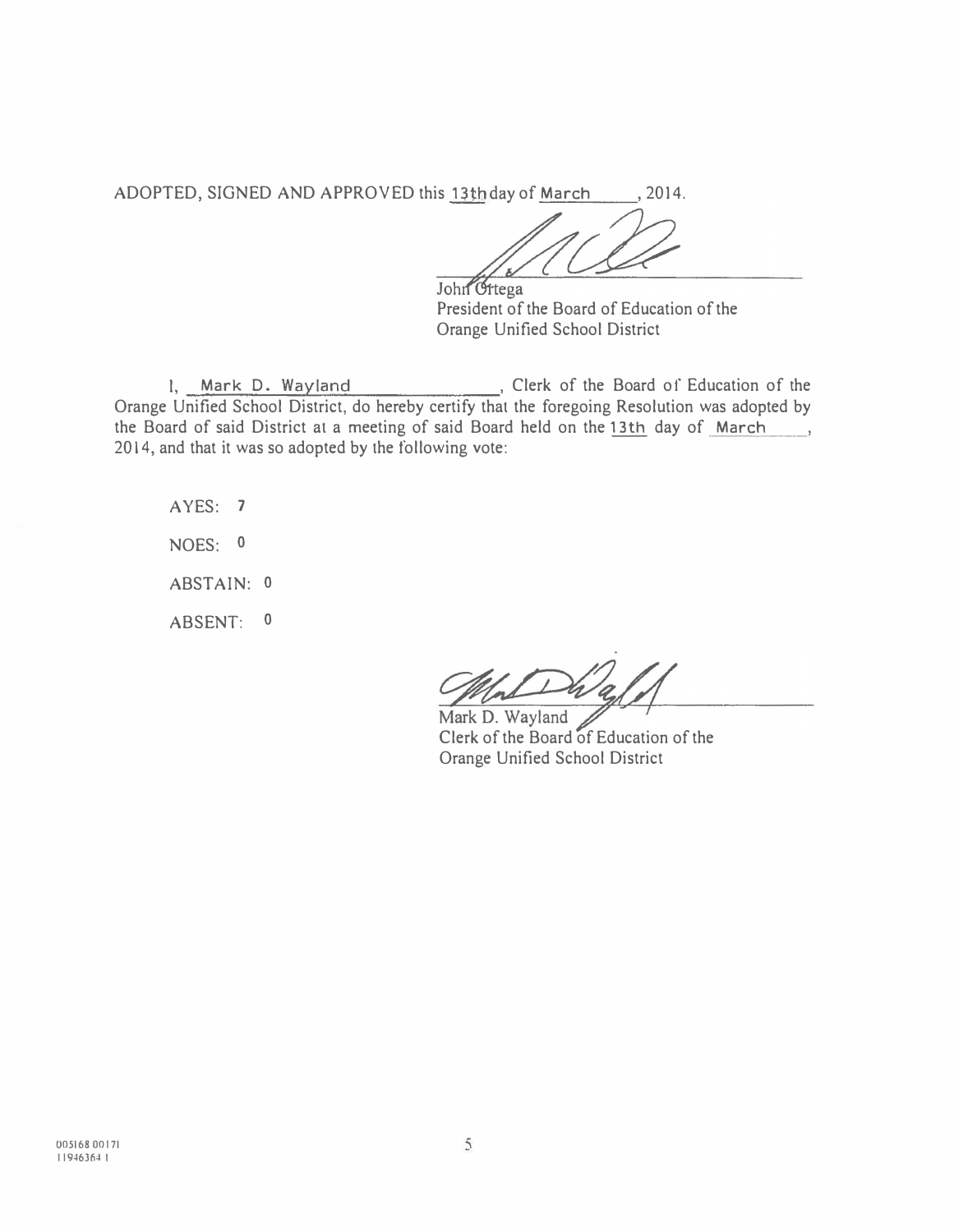ADOPTED, SIGNED AND APPROVED this 13th day of March , 2014.

John Griega

President of the Board of Education of the Orange Unified School District

1, Mark D. Wayland , Clerk of the Board of Education of the Orange Unified School District, do hereby certify that the foregoing Resolution was adopted by the Board of said District at a meeting of said Board held on the 13th day of March  $\ddot{\phantom{a}}$ 2014, and that it was so adopted by the following vote:

AYES: 7 NOES: 0 ABSTAIN: 0 ABSENT: 0

Mark D. Wayland Clerk of the Board of Education of the Orange Unified School District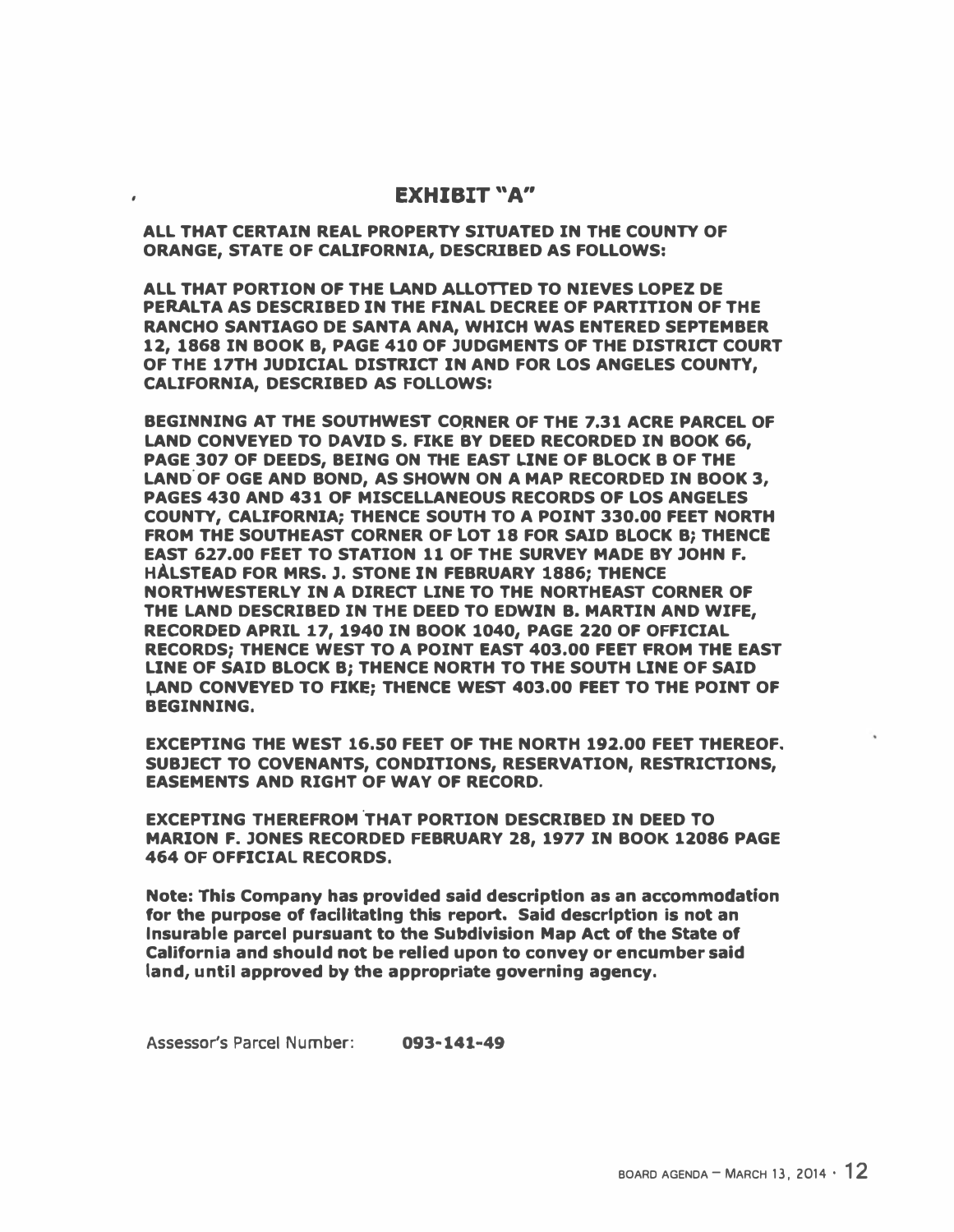## EXHIBIT "A"

ALL THAT CERTAIN REAL PROPERTY SITUATED IN THE COUNTY OF ORANGE, STATE OF CALIFORNIA, DESCRIBED AS FOLLOWS:

ALL THAT PORTION OF THE LAND ALLOTTED TO NIEVES LOPEZ DE PERALTA AS DESCRIBED IN THE FINAL DECREE OF PARTITION OF THE RANCHO SANTIAGO DE SANTA ANA, WHICH WAS ENTERED SEPTEMBER 12, 1868 IN BOOK B, PAGE 410 OF JUDGMENTS OF THE DISTRICT COURT OF THE 17TH JUDICIAL DISTRICT IN AND FOR LOS ANGELES COUNTY, CALIFORNIA, DESCRIBED AS FOLLOWS:

BEGINNING AT THE SOUTHWEST CORNER OF THE 7.31 ACRE PARCEL OF LAND CONVEYED TO DAVID S. FIKE BY DEED RECORDED IN BOOK 66, PAGE 307 OF DEEDS, BEING ON THE EAST LINE OF BLOCK B OF THE LAND. OF OGE AND BOND, AS SHOWN ON A MAP RECORDED IN BOOK 3, PAGES 430 AND 431 OF MISCELLANEOUS RECORDS OF LOS ANGELES COUNTY, CALIFORNIA; THENCE SOUTH TO A POINT 330.00 FEET NORTH FROM THE SOUTHEAST CORNER OF LOT 18 FOR SAID BLOCK B; THENCE EAST 627.00 FEET TO STATION 11 OF THE SURVEY MADE BY JOHN F. HALSTEAD FOR MRS. J. STONE IN FEBRUARY 1886; THENCE NORTHWESTERLY IN A DIRECT LINE TO THE NORTHEAST CORNER OF THE LAND DESCRIBED IN THE DEED TO EDWIN B. MARTIN AND WIFE, RECORDED APRIL 17, 1940 IN BOOK 1040, PAGE 220 OF OFFICIAL RECORDS; THENCE WEST TO A POINT EAST 403.00 FEET FROM THE EAST LINE OF SAID BLOCK B; THENCE NORTH TO THE SOUTH LINE OF SAID LAND CONVEYED TO FIKE; THENCE WEST 403.00 FEET TO THE POINT OF BEGINNING.

EXCEPTING THE WEST 16.50 FEET OF THE NORTH 192.00 FEET THEREOF. SUBJECT TO COVENANTS, CONDITIONS, RESERVATION, RESTRICTIONS, EASEMENTS AND RIGHT OF WAY OF RECORD.

EXCEPTING THEREFROM THAT PORTION DESCRIBED IN DEED TO MARION F. JONES RECORDED FEBRUARY 28, 1977 IN BOOK 12086 PAGE 464 OF OFFICIAL RECORDS.

Note: This Company has provided said description as an accommodation for the purpose of facilitating this report. Said description is not an Insurable parcel pursuant to the Subdivision Map Act of the State of California and should not be relied upon to convey or encumber said land, until approved by the appropriate governing agency.

Assessor's Parcel Number: 093·141-49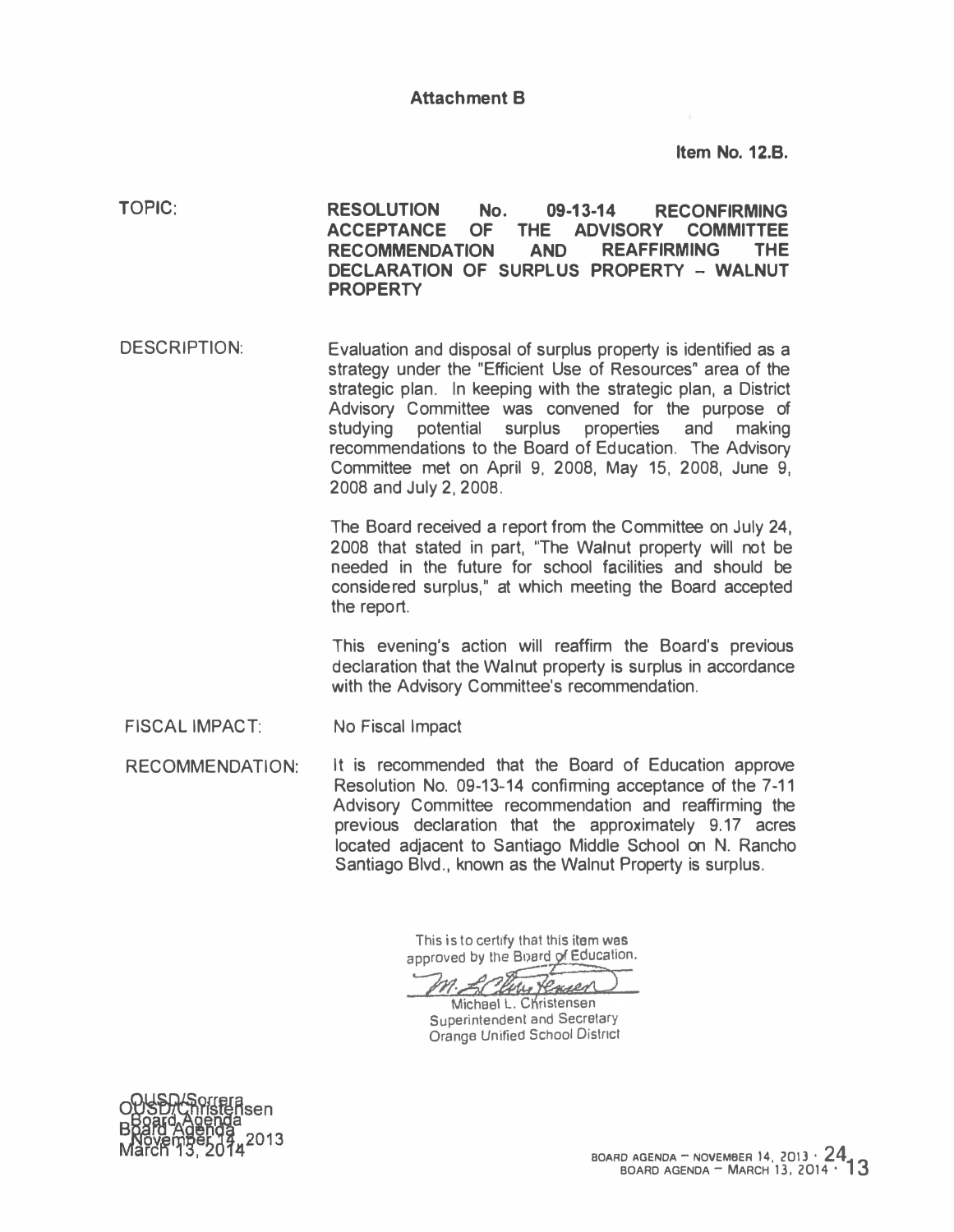Item No. 12.8.

<sup>T</sup>OPIC: RESOLUTION No. 09-13-14 RECONFIRMING ACCEPTANCE OF THE ADVISORY COMMITTEE RECOMMENDATION AND REAFFIRMING THE DECLARATION OF SURPLUS PROPERTY - WALNUT PROPERTY

DESCRIPTION: Evaluation and disposal of surplus property is identified as a strategy under the "Efficient Use of Resources" area of the strategic plan. In keeping with the strategic plan, a District Advisory Committee was convened for the purpose of studying potential surplus properties and making recommendations to the Board of Education. The Advisory Committee met on April 9, 2008, May 15, 2008, June 9, 2008 and July 2, 2008.

> The Board received a report from the Committee on July 24, 2008 that stated in part, "The Walnut property will not be needed in the future for school facilities and should be considered surplus," at which meeting the Board accepted the report.

> This evening's action will reaffirm the Board's previous declaration that the Walnut property is surplus in accordance with the Advisory Committee's recommendation.

FISCAL IMPACT: No Fiscal Impact

RECOMMENDATION: It is recommended that the Board of Education approve Resolution No. 09-13-14 confirming acceptance of the 7-11 Advisory Committee recommendation and reaffirming the previous declaration that the approximately 9.17 acres located adjacent to Santiago Middle School on N. Rancho Santiago Blvd., known as the Walnut Property is surplus.

> This is to certify that this item was approved by the Board of Education.

Corne Roger

Michael L. Christensen Superintendent and Secretary Orange Unified School Oistnct

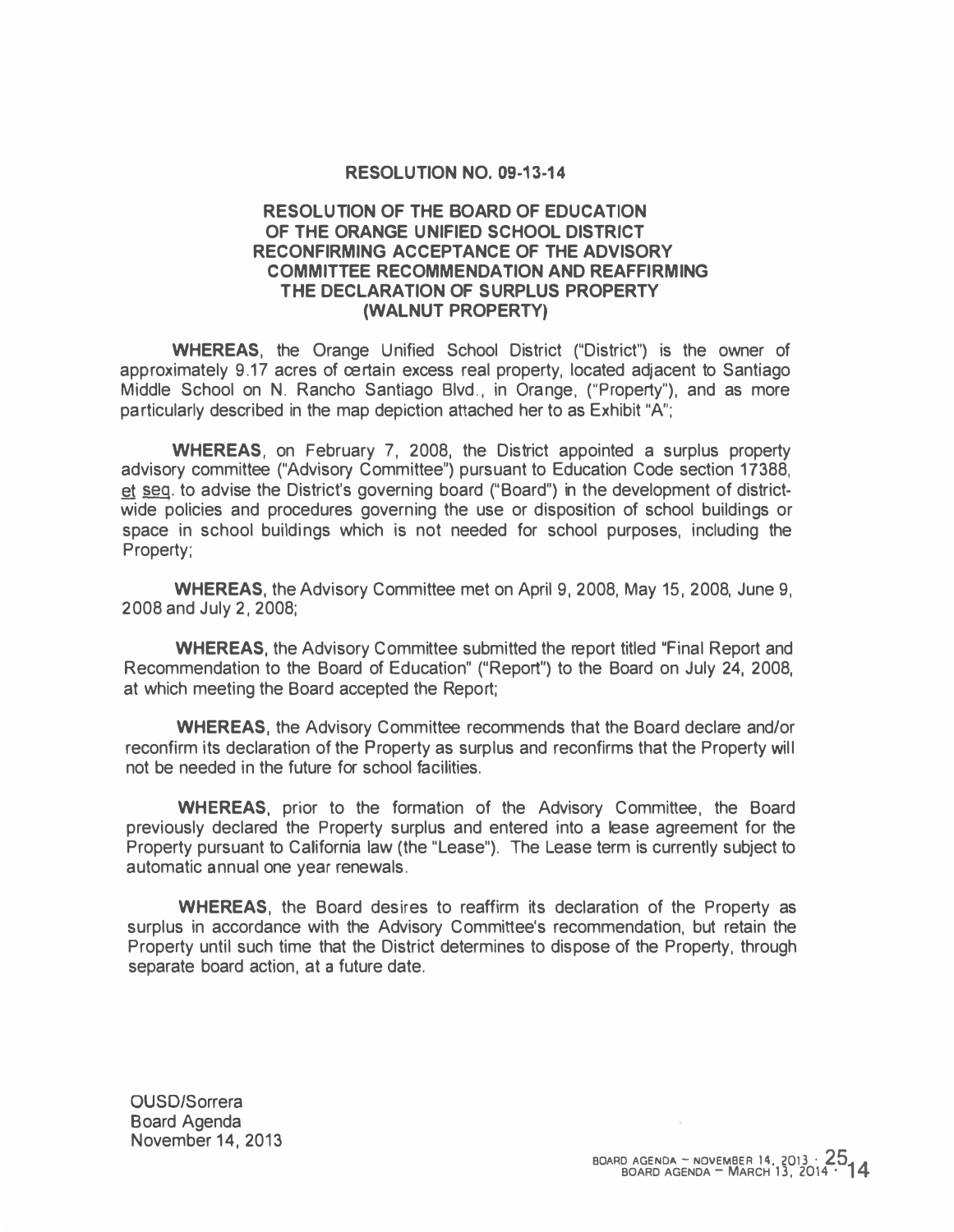#### RESOLUTION NO. 09-13-14

### RESOLUTION OF THE BOARD OF EDUCATION OF THE ORANGE UNIFIED SCHOOL DISTRICT RECONFIRMING ACCEPTANCE OF THE ADVISORY COMMITTEE RECOMMENDATION AND REAFFIRMING THE DECLARATION OF SURPLUS PROPERTY (WALNUT PROPERTY)

WHEREAS, the Orange Unified School District ("District") is the owner of approximately 9.17 acres of certain excess real property, located adjacent to Santiago Middle School on N. Rancho Santiago Blvd., in Orange, ("Property"), and as more particularly described in the map depiction attached her to as Exhibit "A";

WHEREAS, on February 7, 2008, the District appointed a surplus property advisory committee ("Advisory Committee") pursuant to Education Code section 17388, � seq. to advise the District's governing board ("Board") in the development of districtwide policies and procedures governing the use or disposition of school buildings or space in school buildings which is not needed for school purposes, including the Property;

WHEREAS, the Advisory Committee met on April 9, 2008, May 15, 2008, June 9, 2008 and July 2, 2008;

WHEREAS, the Advisory Committee submitted the report titled "Final Report and Recommendation to the Board of Education" ("Report") to the Board on July 24, 2008, at which meeting the Board accepted the Report;

WHEREAS, the Advisory Committee recommends that the Board declare and/or reconfirm its declaration of the Property as surplus and reconfirms that the Property will not be needed in the future for school facilities.

WHEREAS, prior to the formation of the Advisory Committee, the Board previously declared the Property surplus and entered into a lease agreement for the Property pursuant to California law (the "Lease"). The Lease term is currently subject to automatic annual one year renewals.

WHEREAS, the Board desires to reaffirm its declaration of the Property as surplus in accordance with the Advisory Committee's recommendation, but retain the Property until such time that the District determines to dispose of the Property, through separate board action, at a future date.

OUSD/Sorrera Board Agenda November 14, 2013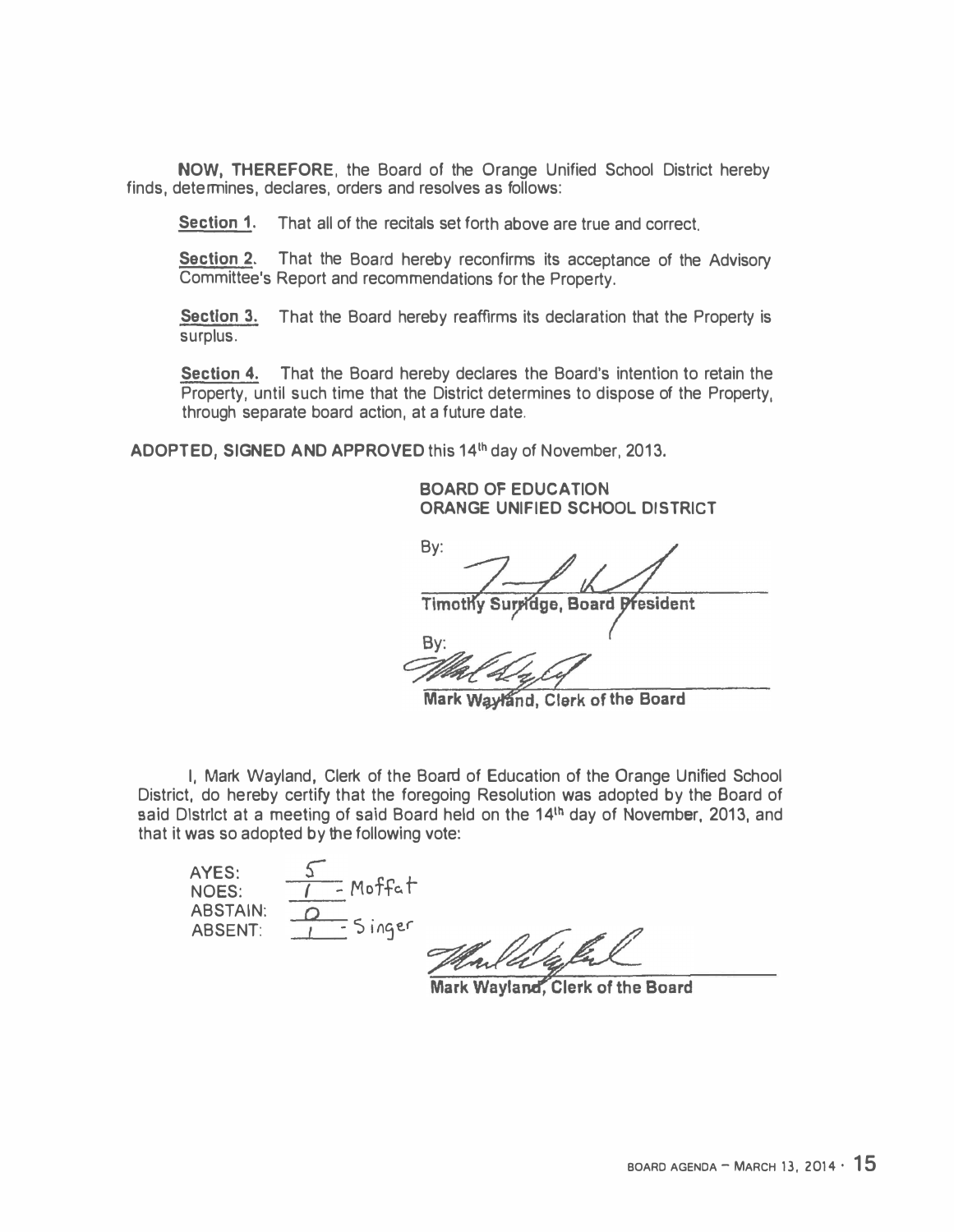NOW, THEREFORE, the Board of the Orange Unified School District hereby finds, determines, declares, orders and resolves as follows:

Section 1. That all of the recitals set forth above are true and correct.

Section 2. That the Board hereby reconfirms its acceptance of the Advisory Committee's Report and recommendations for the Property.

Section 3. That the Board hereby reaffirms its declaration that the Property is surplus.

Section 4. That the Board hereby declares the Board's intention to retain the Property, until such time that the District determines to dispose of the Property, through separate board action, at a future date.

ADOPTED, SIGNED AND APPROVED this 14<sup>th</sup> day of November, 2013.

BOARD OF EDUCATION ORANGE UNIFIED SCHOOL DISTRICT

By: **Timothy Surridge, Board President** 

Mal Ly Col By:

Mark Wayland, Clerk of the Board

I, Mark Wayland, Clerk of the Board of Education of the Orange Unified School District, do hereby certify that the foregoing Resolution was adopted by the Board of said District at a meeting of said Board held on the 14<sup>th</sup> day of November, 2013, and that it was so adopted by the following vote:

AYES: NOES: <u>ء</u> <u>1 -</u> MottaT ABSTAIN:<br>ABSENT:  $ABSENT: 21.519er$ 

Mark Wayland, Clerk of the Board